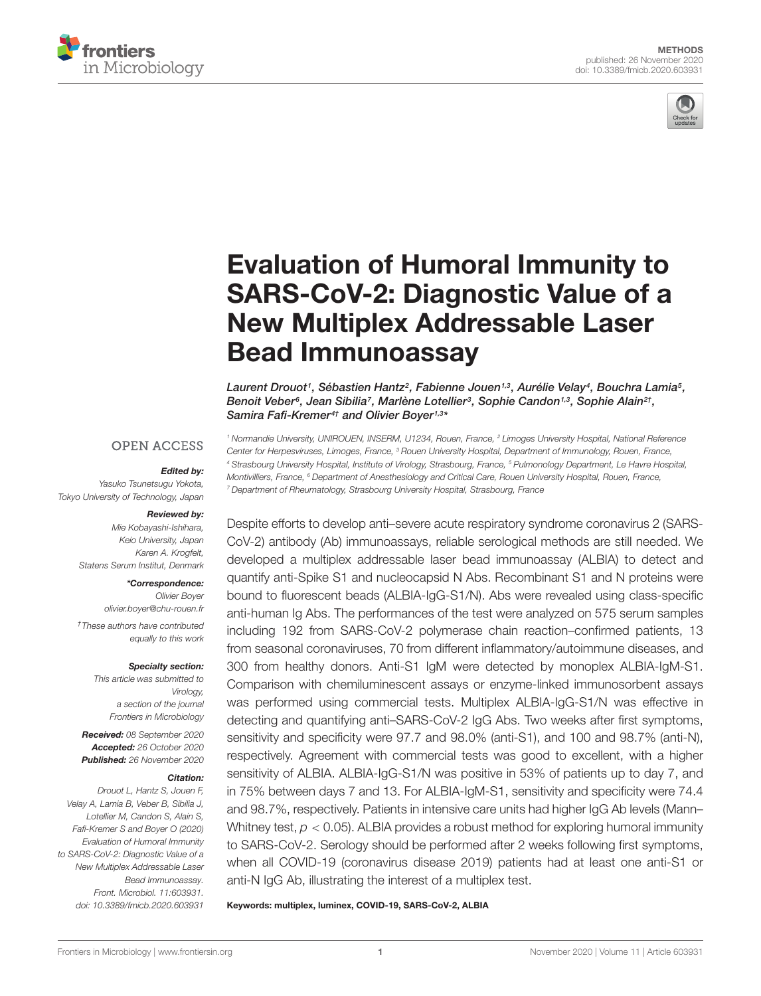



# Evaluation of Humoral Immunity to [SARS-CoV-2: Diagnostic Value of a](https://www.frontiersin.org/articles/10.3389/fmicb.2020.603931/full) New Multiplex Addressable Laser Bead Immunoassay

Laurent Drouot1, Sébastien Hantz², Fabienne Jouen1,3, Aurélie Velay4, Bouchra Lamia5, Benoit Veber<sup>6</sup>, Jean Sibilia<sup>7</sup>, Marlène Lotellier<sup>3</sup>, Sophie Candon<sup>1,3</sup>, Sophie Alain<sup>2†</sup>, Samira Fafi-Kremer<sup>4†</sup> and Olivier Boyer<sup>1,3\*</sup>

#### **OPEN ACCESS**

#### Edited by:

Yasuko Tsunetsugu Yokota, Tokyo University of Technology, Japan

#### Reviewed by:

Mie Kobayashi-Ishihara, Keio University, Japan Karen A. Krogfelt, Statens Serum Institut, Denmark

#### \*Correspondence:

Olivier Boyer olivier.boyer@chu-rouen.fr †These authors have contributed equally to this work

#### Specialty section:

This article was submitted to Virology, a section of the journal Frontiers in Microbiology

Received: 08 September 2020 Accepted: 26 October 2020 Published: 26 November 2020

#### Citation:

Drouot L, Hantz S, Jouen F, Velay A, Lamia B, Veber B, Sibilia J, Lotellier M, Candon S, Alain S, Fafi-Kremer S and Boyer O (2020) Evaluation of Humoral Immunity to SARS-CoV-2: Diagnostic Value of a New Multiplex Addressable Laser Bead Immunoassay. Front. Microbiol. 11:603931. doi: [10.3389/fmicb.2020.603931](https://doi.org/10.3389/fmicb.2020.603931)

<sup>1</sup> Normandie University, UNIROUEN, INSERM, U1234, Rouen, France, <sup>2</sup> Limoges University Hospital, National Reference Center for Herpesviruses, Limoges, France, <sup>3</sup> Rouen University Hospital, Department of Immunology, Rouen, France, <sup>4</sup> Strasbourg University Hospital, Institute of Virology, Strasbourg, France, <sup>5</sup> Pulmonology Department, Le Havre Hospital, Montivilliers, France, <sup>6</sup> Department of Anesthesiology and Critical Care, Rouen University Hospital, Rouen, France, <sup>7</sup> Department of Rheumatology, Strasbourg University Hospital, Strasbourg, France

Despite efforts to develop anti–severe acute respiratory syndrome coronavirus 2 (SARS-CoV-2) antibody (Ab) immunoassays, reliable serological methods are still needed. We developed a multiplex addressable laser bead immunoassay (ALBIA) to detect and quantify anti-Spike S1 and nucleocapsid N Abs. Recombinant S1 and N proteins were bound to fluorescent beads (ALBIA-IgG-S1/N). Abs were revealed using class-specific anti-human Ig Abs. The performances of the test were analyzed on 575 serum samples including 192 from SARS-CoV-2 polymerase chain reaction–confirmed patients, 13 from seasonal coronaviruses, 70 from different inflammatory/autoimmune diseases, and 300 from healthy donors. Anti-S1 IgM were detected by monoplex ALBIA-IgM-S1. Comparison with chemiluminescent assays or enzyme-linked immunosorbent assays was performed using commercial tests. Multiplex ALBIA-IgG-S1/N was effective in detecting and quantifying anti–SARS-CoV-2 IgG Abs. Two weeks after first symptoms, sensitivity and specificity were 97.7 and 98.0% (anti-S1), and 100 and 98.7% (anti-N), respectively. Agreement with commercial tests was good to excellent, with a higher sensitivity of ALBIA. ALBIA-IgG-S1/N was positive in 53% of patients up to day 7, and in 75% between days 7 and 13. For ALBIA-IgM-S1, sensitivity and specificity were 74.4 and 98.7%, respectively. Patients in intensive care units had higher IgG Ab levels (Mann– Whitney test,  $p < 0.05$ ). ALBIA provides a robust method for exploring humoral immunity to SARS-CoV-2. Serology should be performed after 2 weeks following first symptoms, when all COVID-19 (coronavirus disease 2019) patients had at least one anti-S1 or anti-N IgG Ab, illustrating the interest of a multiplex test.

Keywords: multiplex, luminex, COVID-19, SARS-CoV-2, ALBIA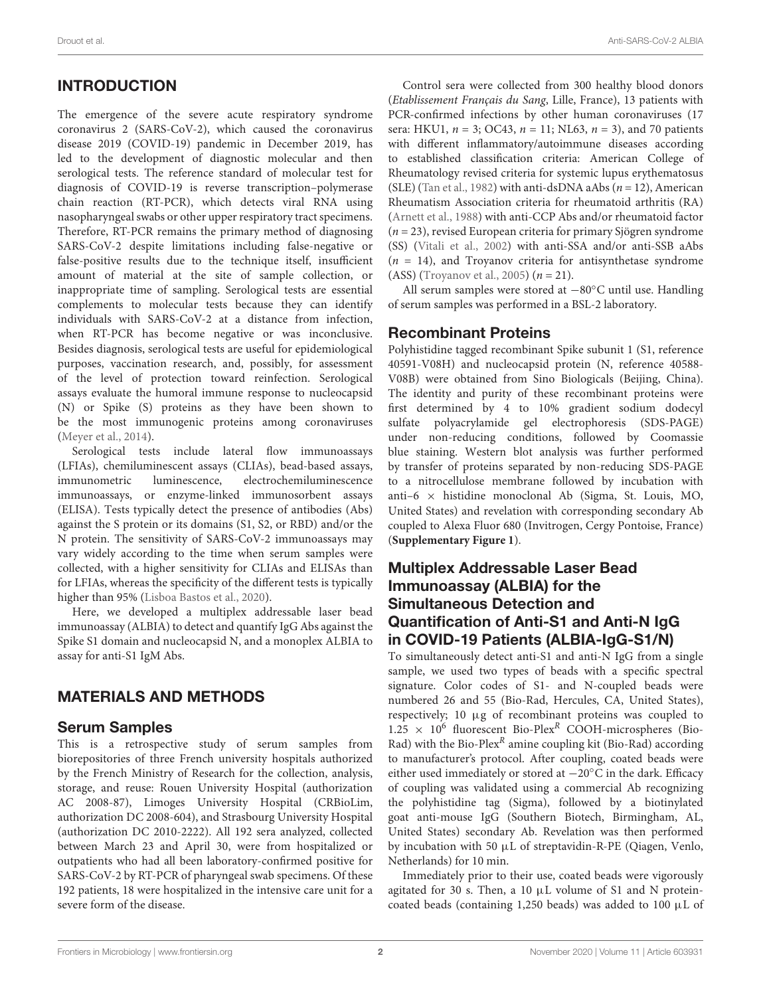# INTRODUCTION

The emergence of the severe acute respiratory syndrome coronavirus 2 (SARS-CoV-2), which caused the coronavirus disease 2019 (COVID-19) pandemic in December 2019, has led to the development of diagnostic molecular and then serological tests. The reference standard of molecular test for diagnosis of COVID-19 is reverse transcription–polymerase chain reaction (RT-PCR), which detects viral RNA using nasopharyngeal swabs or other upper respiratory tract specimens. Therefore, RT-PCR remains the primary method of diagnosing SARS-CoV-2 despite limitations including false-negative or false-positive results due to the technique itself, insufficient amount of material at the site of sample collection, or inappropriate time of sampling. Serological tests are essential complements to molecular tests because they can identify individuals with SARS-CoV-2 at a distance from infection, when RT-PCR has become negative or was inconclusive. Besides diagnosis, serological tests are useful for epidemiological purposes, vaccination research, and, possibly, for assessment of the level of protection toward reinfection. Serological assays evaluate the humoral immune response to nucleocapsid (N) or Spike (S) proteins as they have been shown to be the most immunogenic proteins among coronaviruses [\(Meyer et al.,](#page-6-0) [2014\)](#page-6-0).

Serological tests include lateral flow immunoassays (LFIAs), chemiluminescent assays (CLIAs), bead-based assays, immunometric luminescence, electrochemiluminescence immunoassays, or enzyme-linked immunosorbent assays (ELISA). Tests typically detect the presence of antibodies (Abs) against the S protein or its domains (S1, S2, or RBD) and/or the N protein. The sensitivity of SARS-CoV-2 immunoassays may vary widely according to the time when serum samples were collected, with a higher sensitivity for CLIAs and ELISAs than for LFIAs, whereas the specificity of the different tests is typically higher than 95% [\(Lisboa Bastos et al.,](#page-6-1) [2020\)](#page-6-1).

Here, we developed a multiplex addressable laser bead immunoassay (ALBIA) to detect and quantify IgG Abs against the Spike S1 domain and nucleocapsid N, and a monoplex ALBIA to assay for anti-S1 IgM Abs.

# MATERIALS AND METHODS

### Serum Samples

This is a retrospective study of serum samples from biorepositories of three French university hospitals authorized by the French Ministry of Research for the collection, analysis, storage, and reuse: Rouen University Hospital (authorization AC 2008-87), Limoges University Hospital (CRBioLim, authorization DC 2008-604), and Strasbourg University Hospital (authorization DC 2010-2222). All 192 sera analyzed, collected between March 23 and April 30, were from hospitalized or outpatients who had all been laboratory-confirmed positive for SARS-CoV-2 by RT-PCR of pharyngeal swab specimens. Of these 192 patients, 18 were hospitalized in the intensive care unit for a severe form of the disease.

Control sera were collected from 300 healthy blood donors (Etablissement Français du Sang, Lille, France), 13 patients with PCR-confirmed infections by other human coronaviruses (17 sera: HKU1,  $n = 3$ ; OC43,  $n = 11$ ; NL63,  $n = 3$ ), and 70 patients with different inflammatory/autoimmune diseases according to established classification criteria: American College of Rheumatology revised criteria for systemic lupus erythematosus (SLE) [\(Tan et al.,](#page-6-2) [1982\)](#page-6-2) with anti-dsDNA aAbs ( $n = 12$ ), American Rheumatism Association criteria for rheumatoid arthritis (RA) [\(Arnett et al.,](#page-6-3) [1988\)](#page-6-3) with anti-CCP Abs and/or rheumatoid factor  $(n = 23)$ , revised European criteria for primary Sjögren syndrome (SS) [\(Vitali et al.,](#page-6-4) [2002\)](#page-6-4) with anti-SSA and/or anti-SSB aAbs  $(n = 14)$ , and Troyanov criteria for antisynthetase syndrome (ASS) [\(Troyanov et al.,](#page-6-5) [2005\)](#page-6-5)  $(n = 21)$ .

All serum samples were stored at −80◦C until use. Handling of serum samples was performed in a BSL-2 laboratory.

### Recombinant Proteins

Polyhistidine tagged recombinant Spike subunit 1 (S1, reference 40591-V08H) and nucleocapsid protein (N, reference 40588- V08B) were obtained from Sino Biologicals (Beijing, China). The identity and purity of these recombinant proteins were first determined by 4 to 10% gradient sodium dodecyl sulfate polyacrylamide gel electrophoresis (SDS-PAGE) under non-reducing conditions, followed by Coomassie blue staining. Western blot analysis was further performed by transfer of proteins separated by non-reducing SDS-PAGE to a nitrocellulose membrane followed by incubation with anti-6  $\times$  histidine monoclonal Ab (Sigma, St. Louis, MO, United States) and revelation with corresponding secondary Ab coupled to Alexa Fluor 680 (Invitrogen, Cergy Pontoise, France) (**[Supplementary Figure 1](#page-5-0)**).

#### Multiplex Addressable Laser Bead Immunoassay (ALBIA) for the Simultaneous Detection and Quantification of Anti-S1 and Anti-N IgG in COVID-19 Patients (ALBIA-IgG-S1/N)

To simultaneously detect anti-S1 and anti-N IgG from a single sample, we used two types of beads with a specific spectral signature. Color codes of S1- and N-coupled beads were numbered 26 and 55 (Bio-Rad, Hercules, CA, United States), respectively; 10 µg of recombinant proteins was coupled to  $1.25 \times 10^6$  fluorescent Bio-Plex<sup>R</sup> COOH-microspheres (Bio-Rad) with the Bio-Plex<sup>R</sup> amine coupling kit (Bio-Rad) according to manufacturer's protocol. After coupling, coated beads were either used immediately or stored at −20◦C in the dark. Efficacy of coupling was validated using a commercial Ab recognizing the polyhistidine tag (Sigma), followed by a biotinylated goat anti-mouse IgG (Southern Biotech, Birmingham, AL, United States) secondary Ab. Revelation was then performed by incubation with 50 µL of streptavidin-R-PE (Qiagen, Venlo, Netherlands) for 10 min.

Immediately prior to their use, coated beads were vigorously agitated for 30 s. Then, a 10  $\mu$ L volume of S1 and N proteincoated beads (containing 1,250 beads) was added to 100  $\mu$ L of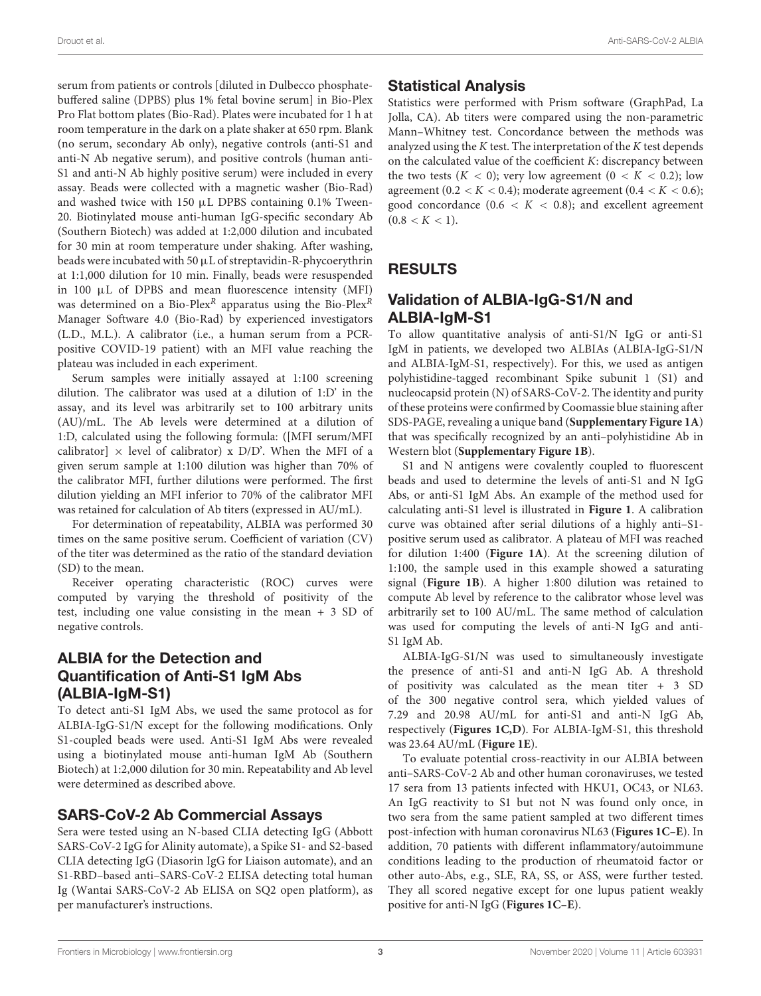serum from patients or controls [diluted in Dulbecco phosphatebuffered saline (DPBS) plus 1% fetal bovine serum] in Bio-Plex Pro Flat bottom plates (Bio-Rad). Plates were incubated for 1 h at room temperature in the dark on a plate shaker at 650 rpm. Blank (no serum, secondary Ab only), negative controls (anti-S1 and anti-N Ab negative serum), and positive controls (human anti-S1 and anti-N Ab highly positive serum) were included in every assay. Beads were collected with a magnetic washer (Bio-Rad) and washed twice with 150  $\mu$ L DPBS containing 0.1% Tween-20. Biotinylated mouse anti-human IgG-specific secondary Ab (Southern Biotech) was added at 1:2,000 dilution and incubated for 30 min at room temperature under shaking. After washing, beads were incubated with 50 µL of streptavidin-R-phycoerythrin at 1:1,000 dilution for 10 min. Finally, beads were resuspended in 100 µL of DPBS and mean fluorescence intensity (MFI) was determined on a Bio-Plex<sup>R</sup> apparatus using the Bio-Plex<sup>R</sup> Manager Software 4.0 (Bio-Rad) by experienced investigators (L.D., M.L.). A calibrator (i.e., a human serum from a PCRpositive COVID-19 patient) with an MFI value reaching the plateau was included in each experiment.

Serum samples were initially assayed at 1:100 screening dilution. The calibrator was used at a dilution of 1:D' in the assay, and its level was arbitrarily set to 100 arbitrary units (AU)/mL. The Ab levels were determined at a dilution of 1:D, calculated using the following formula: ([MFI serum/MFI calibrator]  $\times$  level of calibrator) x D/D'. When the MFI of a given serum sample at 1:100 dilution was higher than 70% of the calibrator MFI, further dilutions were performed. The first dilution yielding an MFI inferior to 70% of the calibrator MFI was retained for calculation of Ab titers (expressed in AU/mL).

For determination of repeatability, ALBIA was performed 30 times on the same positive serum. Coefficient of variation (CV) of the titer was determined as the ratio of the standard deviation (SD) to the mean.

Receiver operating characteristic (ROC) curves were computed by varying the threshold of positivity of the test, including one value consisting in the mean + 3 SD of negative controls.

### ALBIA for the Detection and Quantification of Anti-S1 IgM Abs (ALBIA-IgM-S1)

To detect anti-S1 IgM Abs, we used the same protocol as for ALBIA-IgG-S1/N except for the following modifications. Only S1-coupled beads were used. Anti-S1 IgM Abs were revealed using a biotinylated mouse anti-human IgM Ab (Southern Biotech) at 1:2,000 dilution for 30 min. Repeatability and Ab level were determined as described above.

### SARS-CoV-2 Ab Commercial Assays

Sera were tested using an N-based CLIA detecting IgG (Abbott SARS-CoV-2 IgG for Alinity automate), a Spike S1- and S2-based CLIA detecting IgG (Diasorin IgG for Liaison automate), and an S1-RBD–based anti–SARS-CoV-2 ELISA detecting total human Ig (Wantai SARS-CoV-2 Ab ELISA on SQ2 open platform), as per manufacturer's instructions.

# Statistical Analysis

Statistics were performed with Prism software (GraphPad, La Jolla, CA). Ab titers were compared using the non-parametric Mann–Whitney test. Concordance between the methods was analyzed using the  $K$  test. The interpretation of the  $K$  test depends on the calculated value of the coefficient K: discrepancy between the two tests  $(K < 0)$ ; very low agreement  $(0 < K < 0.2)$ ; low agreement (0.2 <  $K$  < 0.4); moderate agreement (0.4 <  $K$  < 0.6); good concordance  $(0.6 < K < 0.8)$ ; and excellent agreement  $(0.8 < K < 1)$ .

# RESULTS

### Validation of ALBIA-IgG-S1/N and ALBIA-IgM-S1

To allow quantitative analysis of anti-S1/N IgG or anti-S1 IgM in patients, we developed two ALBIAs (ALBIA-IgG-S1/N and ALBIA-IgM-S1, respectively). For this, we used as antigen polyhistidine-tagged recombinant Spike subunit 1 (S1) and nucleocapsid protein (N) of SARS-CoV-2. The identity and purity of these proteins were confirmed by Coomassie blue staining after SDS-PAGE, revealing a unique band (**[Supplementary Figure 1A](#page-5-0)**) that was specifically recognized by an anti–polyhistidine Ab in Western blot (**[Supplementary Figure 1B](#page-5-0)**).

S1 and N antigens were covalently coupled to fluorescent beads and used to determine the levels of anti-S1 and N IgG Abs, or anti-S1 IgM Abs. An example of the method used for calculating anti-S1 level is illustrated in **[Figure 1](#page-3-0)**. A calibration curve was obtained after serial dilutions of a highly anti–S1 positive serum used as calibrator. A plateau of MFI was reached for dilution 1:400 (**[Figure 1A](#page-3-0)**). At the screening dilution of 1:100, the sample used in this example showed a saturating signal (**[Figure 1B](#page-3-0)**). A higher 1:800 dilution was retained to compute Ab level by reference to the calibrator whose level was arbitrarily set to 100 AU/mL. The same method of calculation was used for computing the levels of anti-N IgG and anti-S1 IgM Ab.

ALBIA-IgG-S1/N was used to simultaneously investigate the presence of anti-S1 and anti-N IgG Ab. A threshold of positivity was calculated as the mean titer + 3 SD of the 300 negative control sera, which yielded values of 7.29 and 20.98 AU/mL for anti-S1 and anti-N IgG Ab, respectively (**[Figures 1C,D](#page-3-0)**). For ALBIA-IgM-S1, this threshold was 23.64 AU/mL (**[Figure 1E](#page-3-0)**).

To evaluate potential cross-reactivity in our ALBIA between anti–SARS-CoV-2 Ab and other human coronaviruses, we tested 17 sera from 13 patients infected with HKU1, OC43, or NL63. An IgG reactivity to S1 but not N was found only once, in two sera from the same patient sampled at two different times post-infection with human coronavirus NL63 (**[Figures 1C–E](#page-3-0)**). In addition, 70 patients with different inflammatory/autoimmune conditions leading to the production of rheumatoid factor or other auto-Abs, e.g., SLE, RA, SS, or ASS, were further tested. They all scored negative except for one lupus patient weakly positive for anti-N IgG (**[Figures 1C–E](#page-3-0)**).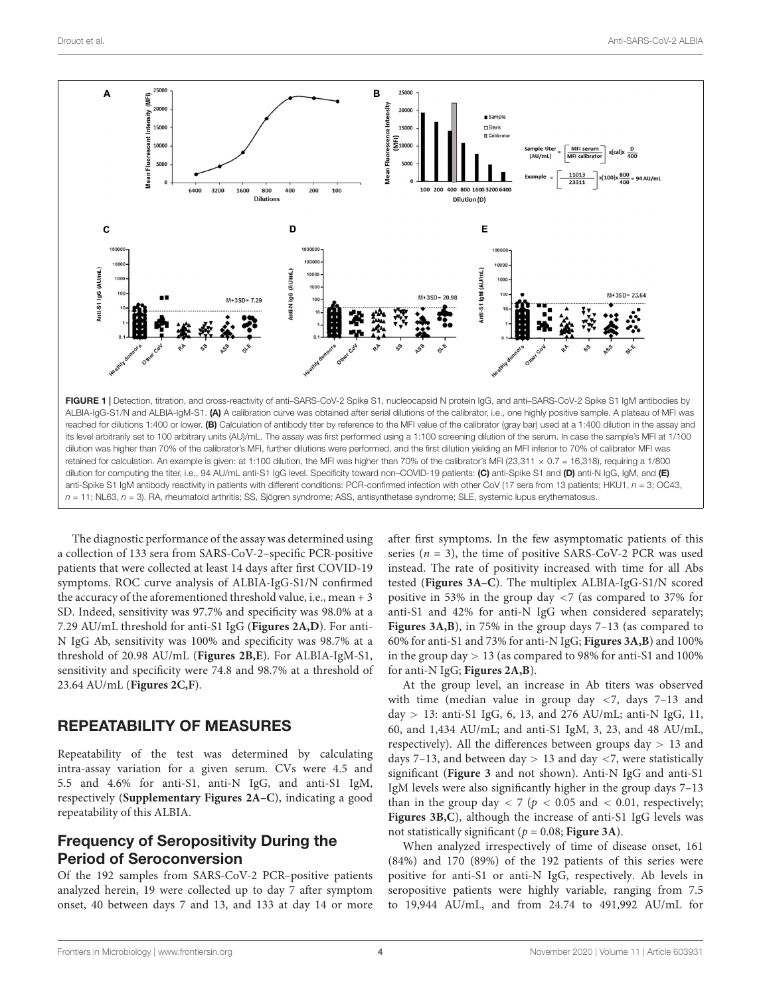

<span id="page-3-0"></span>The diagnostic performance of the assay was determined using a collection of 133 sera from SARS-CoV-2–specific PCR-positive patients that were collected at least 14 days after first COVID-19 symptoms. ROC curve analysis of ALBIA-IgG-S1/N confirmed the accuracy of the aforementioned threshold value, i.e., mean + 3 SD. Indeed, sensitivity was 97.7% and specificity was 98.0% at a 7.29 AU/mL threshold for anti-S1 IgG (**[Figures 2A,D](#page-4-0)**). For anti-N IgG Ab, sensitivity was 100% and specificity was 98.7% at a threshold of 20.98 AU/mL (**[Figures 2B,E](#page-4-0)**). For ALBIA-IgM-S1, sensitivity and specificity were 74.8 and 98.7% at a threshold of 23.64 AU/mL (**[Figures 2C,F](#page-4-0)**).

#### REPEATABILITY OF MEASURES

Repeatability of the test was determined by calculating intra-assay variation for a given serum. CVs were 4.5 and 5.5 and 4.6% for anti-S1, anti-N IgG, and anti-S1 IgM, respectively (**[Supplementary Figures 2A–C](#page-5-0)**), indicating a good repeatability of this ALBIA.

### Frequency of Seropositivity During the Period of Seroconversion

Of the 192 samples from SARS-CoV-2 PCR–positive patients analyzed herein, 19 were collected up to day 7 after symptom onset, 40 between days 7 and 13, and 133 at day 14 or more after first symptoms. In the few asymptomatic patients of this series ( $n = 3$ ), the time of positive SARS-CoV-2 PCR was used instead. The rate of positivity increased with time for all Abs tested (**[Figures 3A–C](#page-4-1)**). The multiplex ALBIA-IgG-S1/N scored positive in 53% in the group day <7 (as compared to 37% for anti-S1 and 42% for anti-N IgG when considered separately; **[Figures 3A,B](#page-4-1)**), in 75% in the group days 7–13 (as compared to 60% for anti-S1 and 73% for anti-N IgG; **[Figures 3A,B](#page-4-1)**) and 100% in the group day  $> 13$  (as compared to 98% for anti-S1 and 100% for anti-N IgG; **[Figures 2A,B](#page-4-0)**).

At the group level, an increase in Ab titers was observed with time (median value in group day  $\langle 7, \text{ days } 7-13 \rangle$  and day > 13: anti-S1 IgG, 6, 13, and 276 AU/mL; anti-N IgG, 11, 60, and 1,434 AU/mL; and anti-S1 IgM, 3, 23, and 48 AU/mL, respectively). All the differences between groups day  $> 13$  and days 7-13, and between day  $> 13$  and day <7, were statistically significant (**[Figure 3](#page-4-1)** and not shown). Anti-N IgG and anti-S1 IgM levels were also significantly higher in the group days 7–13 than in the group day  $<$  7 ( $p$   $<$  0.05 and  $<$  0.01, respectively; **[Figures 3B,C](#page-4-1)**), although the increase of anti-S1 IgG levels was not statistically significant ( $p = 0.08$ ; **[Figure 3A](#page-4-1)**).

When analyzed irrespectively of time of disease onset, 161 (84%) and 170 (89%) of the 192 patients of this series were positive for anti-S1 or anti-N IgG, respectively. Ab levels in seropositive patients were highly variable, ranging from 7.5 to 19,944 AU/mL, and from 24.74 to 491,992 AU/mL for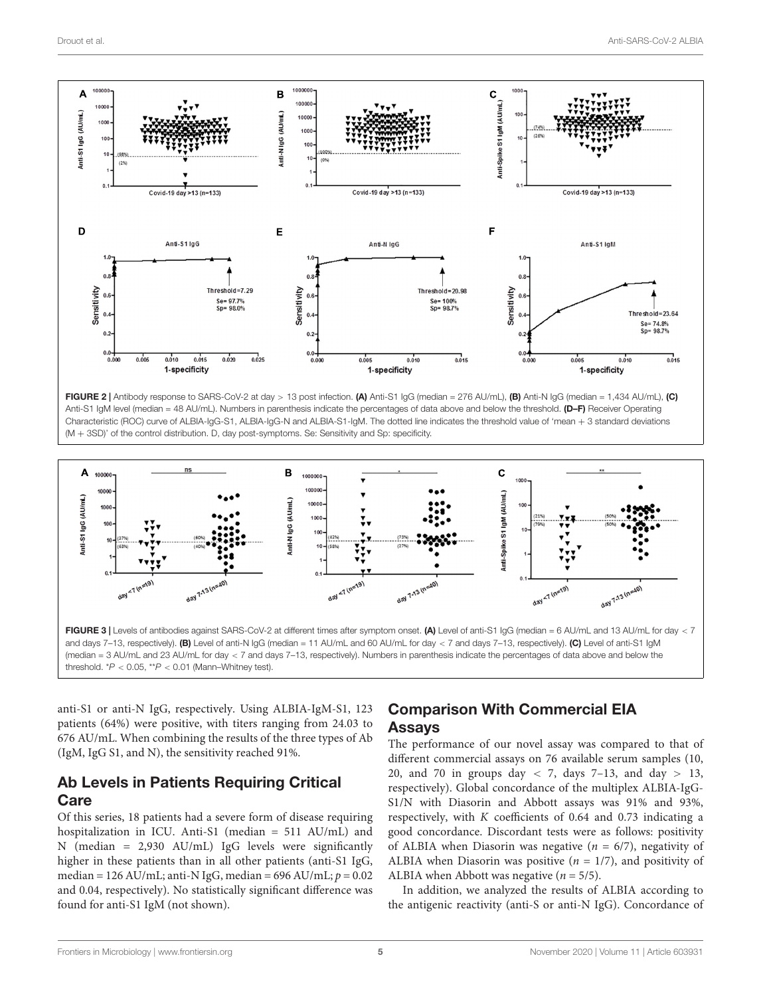

<span id="page-4-0"></span>FIGURE 2 | Antibody response to SARS-CoV-2 at day > 13 post infection. (A) Anti-S1 IgG (median = 276 AU/mL), (B) Anti-N IgG (median = 1,434 AU/mL), (C) Anti-S1 IgM level (median = 48 AU/mL). Numbers in parenthesis indicate the percentages of data above and below the threshold. (D–F) Receiver Operating Characteristic (ROC) curve of ALBIA-IgG-S1, ALBIA-IgG-N and ALBIA-S1-IgM. The dotted line indicates the threshold value of 'mean + 3 standard deviations (M + 3SD)' of the control distribution. D, day post-symptoms. Se: Sensitivity and Sp: specificity.



<span id="page-4-1"></span>anti-S1 or anti-N IgG, respectively. Using ALBIA-IgM-S1, 123 patients (64%) were positive, with titers ranging from 24.03 to 676 AU/mL. When combining the results of the three types of Ab (IgM, IgG S1, and N), the sensitivity reached 91%.

### Ab Levels in Patients Requiring Critical **Care**

Of this series, 18 patients had a severe form of disease requiring hospitalization in ICU. Anti-S1 (median = 511 AU/mL) and N (median = 2,930 AU/mL) IgG levels were significantly higher in these patients than in all other patients (anti-S1 IgG, median = 126 AU/mL; anti-N IgG, median = 696 AU/mL;  $p = 0.02$ and 0.04, respectively). No statistically significant difference was found for anti-S1 IgM (not shown).

# Comparison With Commercial EIA Assays

The performance of our novel assay was compared to that of different commercial assays on 76 available serum samples (10, 20, and 70 in groups day  $\langle$  7, days 7–13, and day  $> 13$ , respectively). Global concordance of the multiplex ALBIA-IgG-S1/N with Diasorin and Abbott assays was 91% and 93%, respectively, with K coefficients of 0.64 and 0.73 indicating a good concordance. Discordant tests were as follows: positivity of ALBIA when Diasorin was negative ( $n = 6/7$ ), negativity of ALBIA when Diasorin was positive ( $n = 1/7$ ), and positivity of ALBIA when Abbott was negative ( $n = 5/5$ ).

In addition, we analyzed the results of ALBIA according to the antigenic reactivity (anti-S or anti-N IgG). Concordance of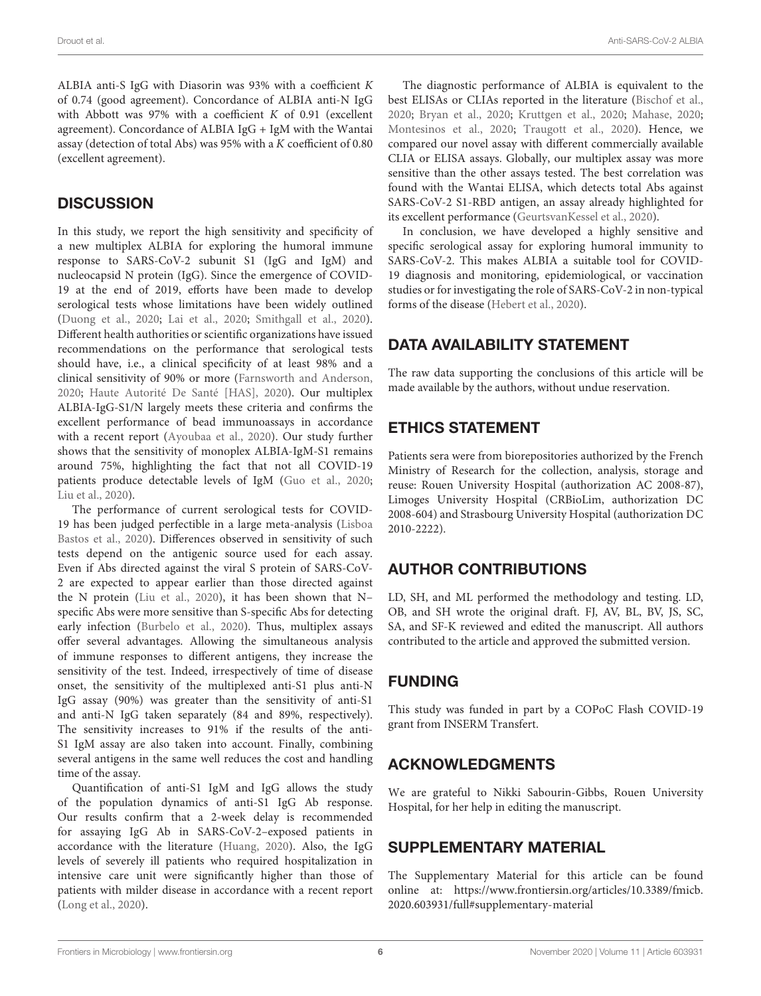ALBIA anti-S IgG with Diasorin was 93% with a coefficient K of 0.74 (good agreement). Concordance of ALBIA anti-N IgG with Abbott was 97% with a coefficient  $K$  of 0.91 (excellent agreement). Concordance of ALBIA IgG + IgM with the Wantai assay (detection of total Abs) was 95% with a K coefficient of 0.80 (excellent agreement).

# **DISCUSSION**

In this study, we report the high sensitivity and specificity of a new multiplex ALBIA for exploring the humoral immune response to SARS-CoV-2 subunit S1 (IgG and IgM) and nucleocapsid N protein (IgG). Since the emergence of COVID-19 at the end of 2019, efforts have been made to develop serological tests whose limitations have been widely outlined [\(Duong et al.,](#page-6-6) [2020;](#page-6-6) [Lai et al.,](#page-6-7) [2020;](#page-6-7) [Smithgall et al.,](#page-6-8) [2020\)](#page-6-8). Different health authorities or scientific organizations have issued recommendations on the performance that serological tests should have, i.e., a clinical specificity of at least 98% and a clinical sensitivity of 90% or more [\(Farnsworth and Anderson,](#page-6-9) [2020;](#page-6-9) [Haute Autorité De Santé \[HAS\],](#page-6-10) [2020\)](#page-6-10). Our multiplex ALBIA-IgG-S1/N largely meets these criteria and confirms the excellent performance of bead immunoassays in accordance with a recent report [\(Ayoubaa et al.,](#page-6-11) [2020\)](#page-6-11). Our study further shows that the sensitivity of monoplex ALBIA-IgM-S1 remains around 75%, highlighting the fact that not all COVID-19 patients produce detectable levels of IgM [\(Guo et al.,](#page-6-12) [2020;](#page-6-12) [Liu et al.,](#page-6-13) [2020\)](#page-6-13).

The performance of current serological tests for COVID-19 has been judged perfectible in a large meta-analysis [\(Lisboa](#page-6-1) [Bastos et al.,](#page-6-1) [2020\)](#page-6-1). Differences observed in sensitivity of such tests depend on the antigenic source used for each assay. Even if Abs directed against the viral S protein of SARS-CoV-2 are expected to appear earlier than those directed against the N protein [\(Liu et al.,](#page-6-13) [2020\)](#page-6-13), it has been shown that N– specific Abs were more sensitive than S-specific Abs for detecting early infection [\(Burbelo et al.,](#page-6-14) [2020\)](#page-6-14). Thus, multiplex assays offer several advantages. Allowing the simultaneous analysis of immune responses to different antigens, they increase the sensitivity of the test. Indeed, irrespectively of time of disease onset, the sensitivity of the multiplexed anti-S1 plus anti-N IgG assay (90%) was greater than the sensitivity of anti-S1 and anti-N IgG taken separately (84 and 89%, respectively). The sensitivity increases to 91% if the results of the anti-S1 IgM assay are also taken into account. Finally, combining several antigens in the same well reduces the cost and handling time of the assay.

Quantification of anti-S1 IgM and IgG allows the study of the population dynamics of anti-S1 IgG Ab response. Our results confirm that a 2-week delay is recommended for assaying IgG Ab in SARS-CoV-2–exposed patients in accordance with the literature [\(Huang,](#page-6-15) [2020\)](#page-6-15). Also, the IgG levels of severely ill patients who required hospitalization in intensive care unit were significantly higher than those of patients with milder disease in accordance with a recent report [\(Long et al.,](#page-6-16) [2020\)](#page-6-16).

The diagnostic performance of ALBIA is equivalent to the best ELISAs or CLIAs reported in the literature [\(Bischof et al.,](#page-6-17) [2020;](#page-6-17) [Bryan et al.,](#page-6-18) [2020;](#page-6-18) [Kruttgen et al.,](#page-6-19) [2020;](#page-6-19) [Mahase,](#page-6-20) [2020;](#page-6-20) [Montesinos et al.,](#page-6-21) [2020;](#page-6-21) [Traugott et al.,](#page-6-22) [2020\)](#page-6-22). Hence, we compared our novel assay with different commercially available CLIA or ELISA assays. Globally, our multiplex assay was more sensitive than the other assays tested. The best correlation was found with the Wantai ELISA, which detects total Abs against SARS-CoV-2 S1-RBD antigen, an assay already highlighted for its excellent performance [\(GeurtsvanKessel et al.,](#page-6-23) [2020\)](#page-6-23).

In conclusion, we have developed a highly sensitive and specific serological assay for exploring humoral immunity to SARS-CoV-2. This makes ALBIA a suitable tool for COVID-19 diagnosis and monitoring, epidemiological, or vaccination studies or for investigating the role of SARS-CoV-2 in non-typical forms of the disease [\(Hebert et al.,](#page-6-24) [2020\)](#page-6-24).

# DATA AVAILABILITY STATEMENT

The raw data supporting the conclusions of this article will be made available by the authors, without undue reservation.

# ETHICS STATEMENT

Patients sera were from biorepositories authorized by the French Ministry of Research for the collection, analysis, storage and reuse: Rouen University Hospital (authorization AC 2008-87), Limoges University Hospital (CRBioLim, authorization DC 2008-604) and Strasbourg University Hospital (authorization DC 2010-2222).

# AUTHOR CONTRIBUTIONS

LD, SH, and ML performed the methodology and testing. LD, OB, and SH wrote the original draft. FJ, AV, BL, BV, JS, SC, SA, and SF-K reviewed and edited the manuscript. All authors contributed to the article and approved the submitted version.

# FUNDING

This study was funded in part by a COPoC Flash COVID-19 grant from INSERM Transfert.

# ACKNOWLEDGMENTS

We are grateful to Nikki Sabourin-Gibbs, Rouen University Hospital, for her help in editing the manuscript.

### <span id="page-5-0"></span>SUPPLEMENTARY MATERIAL

The Supplementary Material for this article can be found online at: [https://www.frontiersin.org/articles/10.3389/fmicb.](https://www.frontiersin.org/articles/10.3389/fmicb.2020.603931/full#supplementary-material) [2020.603931/full#supplementary-material](https://www.frontiersin.org/articles/10.3389/fmicb.2020.603931/full#supplementary-material)